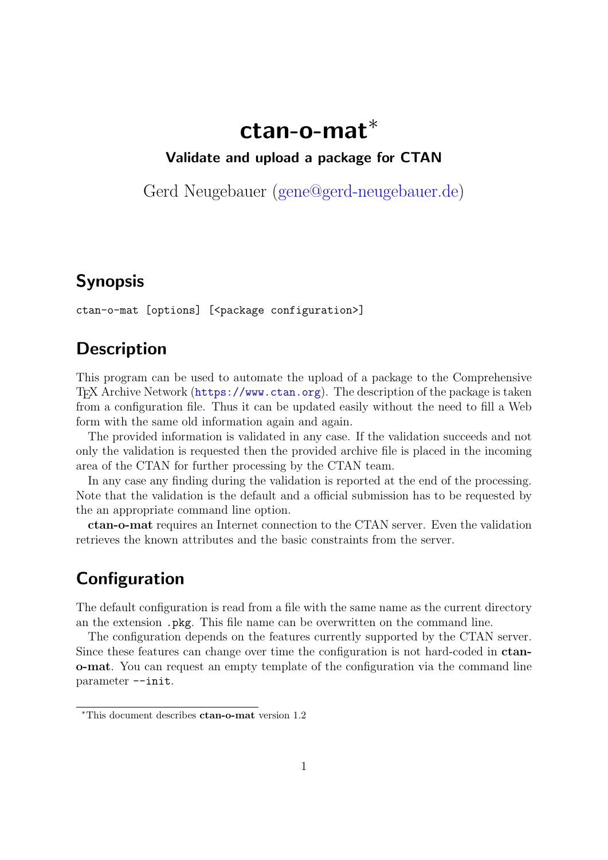# **ctan-o-mat***∗*

#### **Validate and upload a package for CTAN**

Gerd Neugebauer (gene@gerd-neugebauer.de)

## **Synopsis**

ctan-o-mat [options] [<package configuration>]

## **Description**

This program can be used to automate the upload of a package to the Comprehensive TEX Archive Network (https://www.ctan.org). The description of the package is taken from a configuration file. Thus it can be updated easily without the need to fill a Web form with the same old information again and again.

The provided information is validated in any case. If the validation succeeds and not only the validation is r[equested then the provid](https://www.ctan.org)ed archive file is placed in the incoming area of the CTAN for further processing by the CTAN team.

In any case any finding during the validation is reported at the end of the processing. Note that the validation is the default and a official submission has to be requested by the an appropriate command line option.

**ctan-o-mat** requires an Internet connection to the CTAN server. Even the validation retrieves the known attributes and the basic constraints from the server.

## **Configuration**

The default configuration is read from a file with the same name as the current directory an the extension .pkg. This file name can be overwritten on the command line.

The configuration depends on the features currently supported by the CTAN server. Since these features can change over time the configuration is not hard-coded in **ctano-mat**. You can request an empty template of the configuration via the command line parameter --init.

*<sup>∗</sup>*This document describes **ctan-o-mat** version 1.2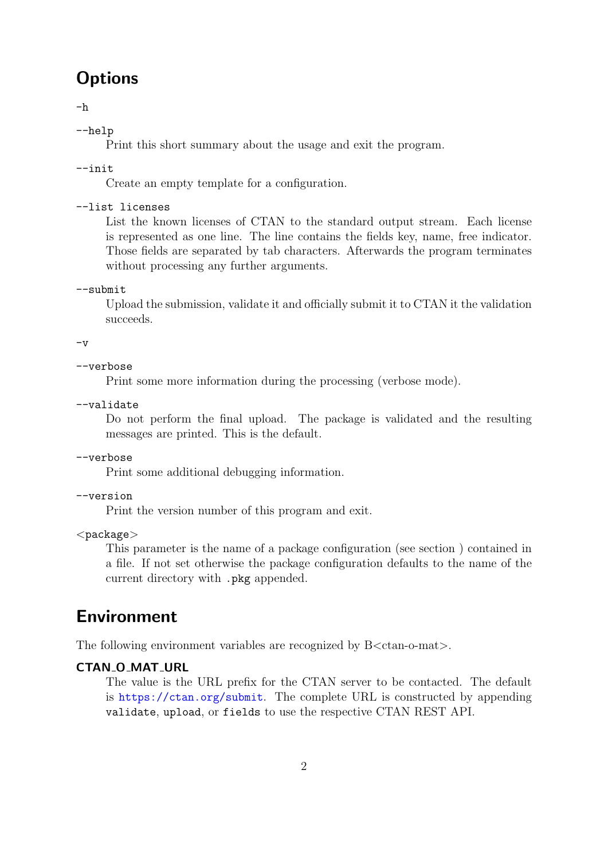## **Options**

-h

--help

Print this short summary about the usage and exit the program.

--init

Create an empty template for a configuration.

#### --list licenses

List the known licenses of CTAN to the standard output stream. Each license is represented as one line. The line contains the fields key, name, free indicator. Those fields are separated by tab characters. Afterwards the program terminates without processing any further arguments.

--submit

Upload the submission, validate it and officially submit it to CTAN it the validation succeeds.

 $-v$ 

```
--verbose
```
Print some more information during the processing (verbose mode).

--validate

Do not perform the final upload. The package is validated and the resulting messages are printed. This is the default.

--verbose

Print some additional debugging information.

#### --version

Print the version number of this program and exit.

*<*package*>*

This parameter is the name of a package configuration (see section ) contained in a file. If not set otherwise the package configuration defaults to the name of the current directory with .pkg appended.

## **Environment**

The following environment variables are recognized by B*<*ctan-o-mat*>*.

#### **CTAN O MAT URL**

The value is the URL prefix for the CTAN server to be contacted. The default is https://ctan.org/submit. The complete URL is constructed by appending validate, upload, or fields to use the respective CTAN REST API.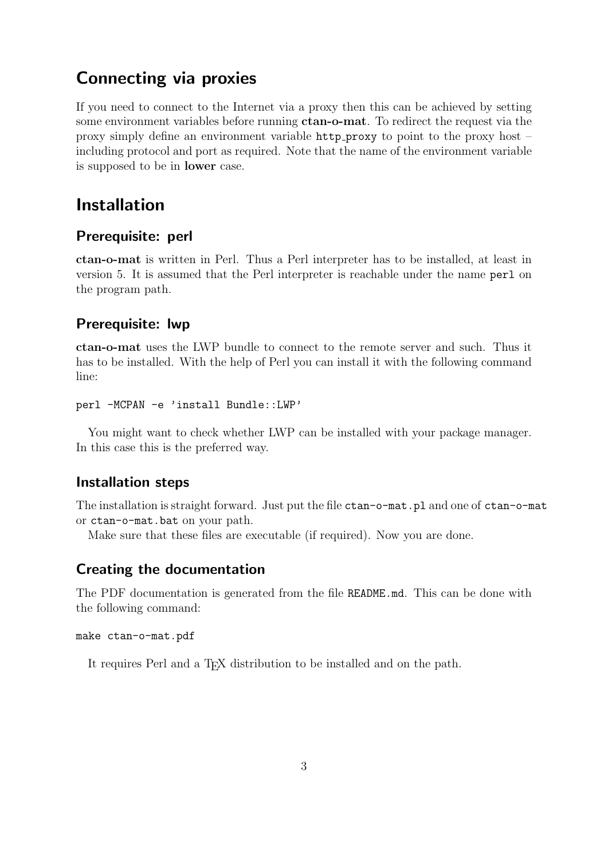### **Connecting via proxies**

If you need to connect to the Internet via a proxy then this can be achieved by setting some environment variables before running **ctan-o-mat**. To redirect the request via the proxy simply define an environment variable http proxy to point to the proxy host – including protocol and port as required. Note that the name of the environment variable is supposed to be in **lower** case.

### **Installation**

#### **Prerequisite: perl**

**ctan-o-mat** is written in Perl. Thus a Perl interpreter has to be installed, at least in version 5. It is assumed that the Perl interpreter is reachable under the name perl on the program path.

#### **Prerequisite: lwp**

**ctan-o-mat** uses the LWP bundle to connect to the remote server and such. Thus it has to be installed. With the help of Perl you can install it with the following command line:

```
perl -MCPAN -e 'install Bundle::LWP'
```
You might want to check whether LWP can be installed with your package manager. In this case this is the preferred way.

#### **Installation steps**

The installation is straight forward. Just put the file ctan-o-mat.pl and one of ctan-o-mat or ctan-o-mat.bat on your path.

Make sure that these files are executable (if required). Now you are done.

#### **Creating the documentation**

The PDF documentation is generated from the file README.md. This can be done with the following command:

#### make ctan-o-mat.pdf

It requires Perl and a T<sub>EX</sub> distribution to be installed and on the path.